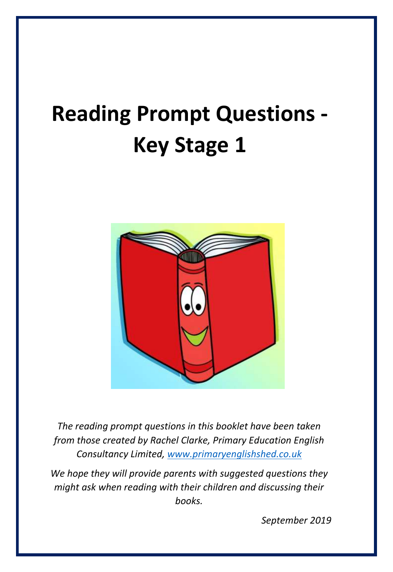# **Reading Prompt Questions - Key Stage 1**



*The reading prompt questions in this booklet have been taken from those created by Rachel Clarke, Primary Education English Consultancy Limited, [www.primaryenglishshed.co.uk](http://www.primaryenglishshed.co.uk/)*

*We hope they will provide parents with suggested questions they might ask when reading with their children and discussing their books.*

*September 2019*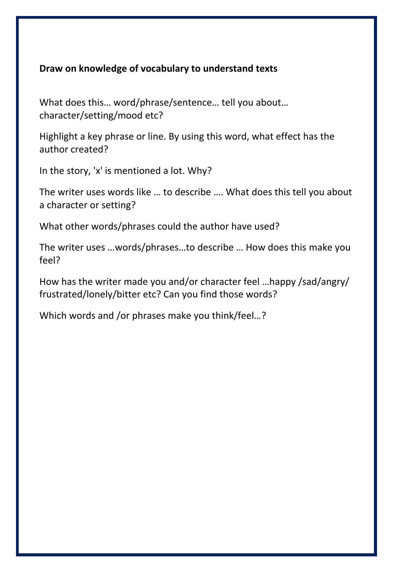#### **Draw on knowledge of vocabulary to understand texts**

What does this… word/phrase/sentence… tell you about… character/setting/mood etc?

Highlight a key phrase or line. By using this word, what effect has the author created?

In the story, 'x' is mentioned a lot. Why?

The writer uses words like … to describe …. What does this tell you about a character or setting?

What other words/phrases could the author have used?

The writer uses …words/phrases…to describe … How does this make you feel?

How has the writer made you and/or character feel …happy /sad/angry/ frustrated/lonely/bitter etc? Can you find those words?

Which words and /or phrases make you think/feel…?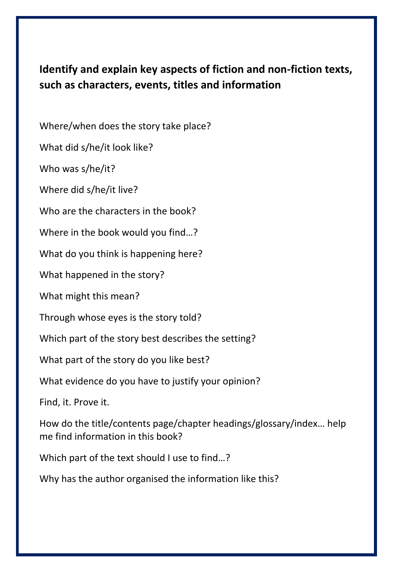## **Identify and explain key aspects of fiction and non-fiction texts, such as characters, events, titles and information**

Where/when does the story take place?

What did s/he/it look like?

Who was s/he/it?

Where did s/he/it live?

Who are the characters in the book?

Where in the book would you find…?

What do you think is happening here?

What happened in the story?

What might this mean?

Through whose eyes is the story told?

Which part of the story best describes the setting?

What part of the story do you like best?

What evidence do you have to justify your opinion?

Find, it. Prove it.

How do the title/contents page/chapter headings/glossary/index… help me find information in this book?

Which part of the text should I use to find…?

Why has the author organised the information like this?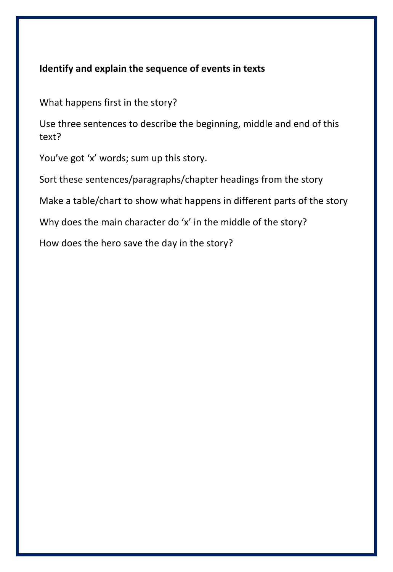#### **Identify and explain the sequence of events in texts**

What happens first in the story?

Use three sentences to describe the beginning, middle and end of this text?

You've got 'x' words; sum up this story.

Sort these sentences/paragraphs/chapter headings from the story

Make a table/chart to show what happens in different parts of the story

Why does the main character do 'x' in the middle of the story?

How does the hero save the day in the story?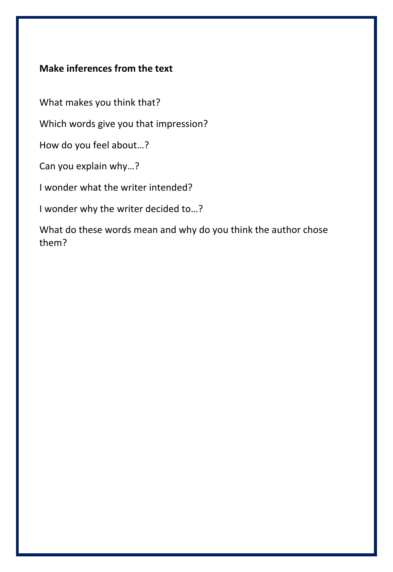### **Make inferences from the text**

What makes you think that?

Which words give you that impression?

How do you feel about…?

Can you explain why…?

I wonder what the writer intended?

I wonder why the writer decided to…?

What do these words mean and why do you think the author chose them?